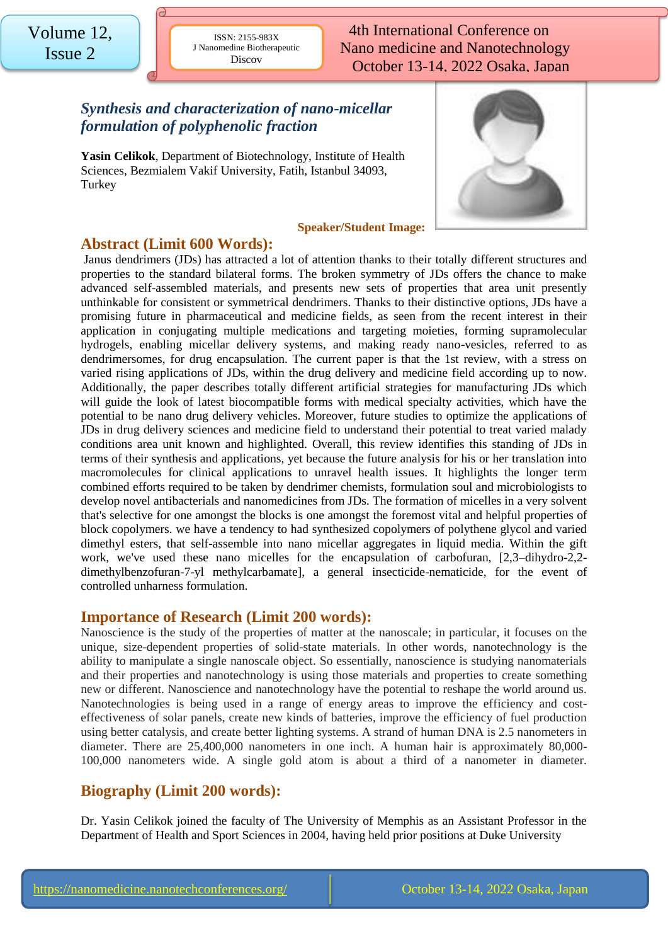ISSN: 2155-983X J Nanomedine Biotherapeutic Discov

 4th International Conference on Nano medicine and Nanotechnology October 13-14, 2022 Osaka, Japan

# *Synthesis and characterization of nano-micellar formulation of polyphenolic fraction*

**Yasin Celikok**, Department of Biotechnology, Institute of Health Sciences, Bezmialem Vakif University, Fatih, Istanbul 34093, **Turkey** 



#### **Speaker/Student Image:**

# **Abstract (Limit 600 Words):**

Janus dendrimers (JDs) has attracted a lot of attention thanks to their totally different structures and properties to the standard bilateral forms. The broken symmetry of JDs offers the chance to make advanced self-assembled materials, and presents new sets of properties that area unit presently unthinkable for consistent or symmetrical dendrimers. Thanks to their distinctive options, JDs have a promising future in pharmaceutical and medicine fields, as seen from the recent interest in their application in conjugating multiple medications and targeting moieties, forming supramolecular hydrogels, enabling micellar delivery systems, and making ready nano-vesicles, referred to as dendrimersomes, for drug encapsulation. The current paper is that the 1st review, with a stress on varied rising applications of JDs, within the drug delivery and medicine field according up to now. Additionally, the paper describes totally different artificial strategies for manufacturing JDs which will guide the look of latest biocompatible forms with medical specialty activities, which have the potential to be nano drug delivery vehicles. Moreover, future studies to optimize the applications of JDs in drug delivery sciences and medicine field to understand their potential to treat varied malady conditions area unit known and highlighted. Overall, this review identifies this standing of JDs in terms of their synthesis and applications, yet because the future analysis for his or her translation into macromolecules for clinical applications to unravel health issues. It highlights the longer term combined efforts required to be taken by dendrimer chemists, formulation soul and microbiologists to develop novel antibacterials and nanomedicines from JDs. The formation of micelles in a very solvent that's selective for one amongst the blocks is one amongst the foremost vital and helpful properties of block copolymers. we have a tendency to had synthesized copolymers of polythene glycol and varied dimethyl esters, that self-assemble into nano micellar aggregates in liquid media. Within the gift work, we've used these nano micelles for the encapsulation of carbofuran, [2,3–dihydro-2,2 dimethylbenzofuran-7-yl methylcarbamate], a general insecticide-nematicide, for the event of controlled unharness formulation.

### **Importance of Research (Limit 200 words):**

Nanoscience is the study of the properties of matter at the nanoscale; in particular, it focuses on the unique, size-dependent properties of solid-state materials. In other words, nanotechnology is the ability to manipulate a single nanoscale object. So essentially, nanoscience is studying nanomaterials and their properties and nanotechnology is using those materials and properties to create something new or different. Nanoscience and nanotechnology have the potential to reshape the world around us. Nanotechnologies is being used in a range of energy areas to improve the efficiency and costeffectiveness of solar panels, create new kinds of batteries, improve the efficiency of fuel production using better catalysis, and create better lighting systems. A strand of human DNA is 2.5 nanometers in diameter. There are 25,400,000 nanometers in one inch. A human hair is approximately 80,000- 100,000 nanometers wide. A single gold atom is about a third of a nanometer in diameter.

# **Biography (Limit 200 words):**

Dr. Yasin Celikok joined the faculty of The University of Memphis as an Assistant Professor in the Department of Health and Sport Sciences in 2004, having held prior positions at Duke University